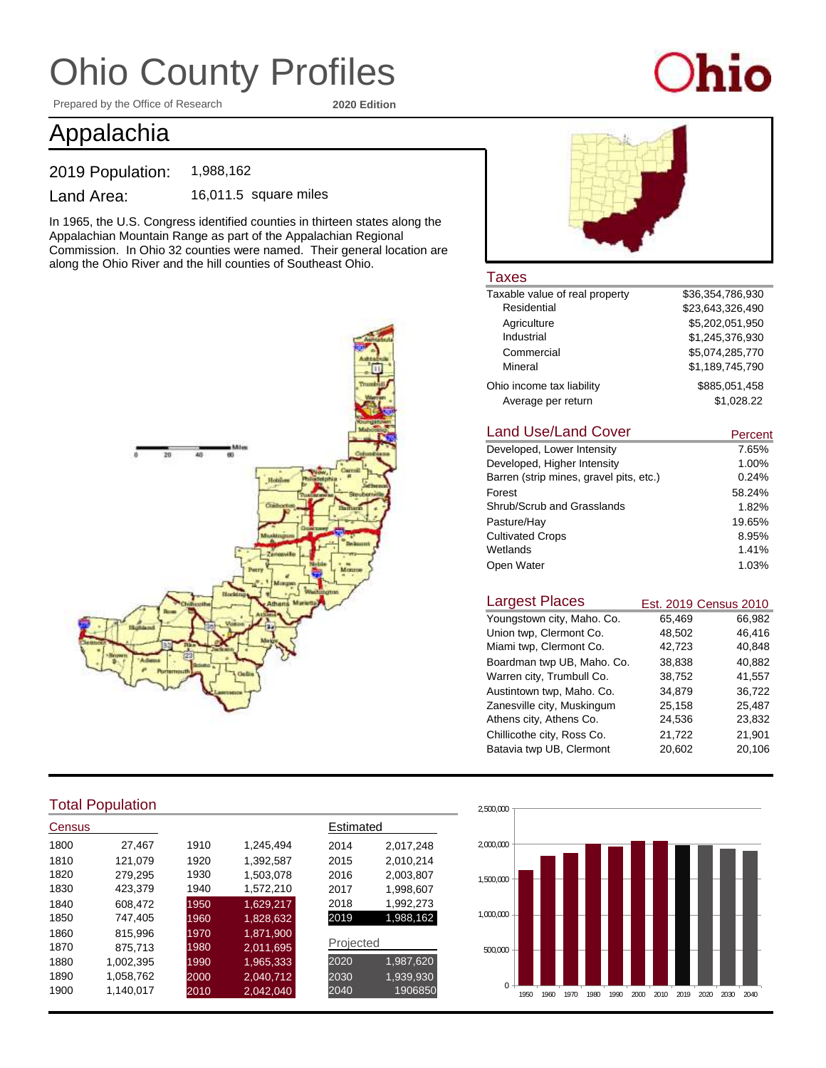Prepared by the Office of Research **2020 Edition**

# hio

### Appalachia

2019 Population: 1,988,162

Land Area: 16,011.5 square miles

In 1965, the U.S. Congress identified counties in thirteen states along the Appalachian Mountain Range as part of the Appalachian Regional Commission. In Ohio 32 counties were named. Their general location are along the Ohio River and the hill counties of Southeast Ohio.



#### Total Population

| Census |           |      |           | Estimated |           |
|--------|-----------|------|-----------|-----------|-----------|
| 1800   | 27,467    | 1910 | 1.245.494 | 2014      | 2,017,248 |
| 1810   | 121,079   | 1920 | 1,392,587 | 2015      | 2,010,214 |
| 1820   | 279,295   | 1930 | 1,503,078 | 2016      | 2,003,807 |
| 1830   | 423,379   | 1940 | 1,572,210 | 2017      | 1,998,607 |
| 1840   | 608.472   | 1950 | 1,629,217 | 2018      | 1,992,273 |
| 1850   | 747,405   | 1960 | 1,828,632 | 2019      | 1,988,162 |
| 1860   | 815,996   | 1970 | 1,871,900 |           |           |
| 1870   | 875,713   | 1980 | 2,011,695 | Projected |           |
| 1880   | 1,002,395 | 1990 | 1,965,333 | 2020      | 1,987,620 |
| 1890   | 1.058.762 | 2000 | 2,040,712 | 2030      | 1,939,930 |
| 1900   | 1.140.017 | 2010 | 2,042,040 | 2040      | 1906850   |



#### **Taxes**

| Taxable value of real property | \$36.354.786.930 |
|--------------------------------|------------------|
| Residential                    | \$23.643.326.490 |
| Agriculture                    | \$5,202,051,950  |
| Industrial                     | \$1,245,376,930  |
| Commercial                     | \$5.074.285.770  |
| Mineral                        | \$1,189,745,790  |
| Ohio income tax liability      | \$885.051.458    |
| Average per return             | \$1.028.22       |

#### 7.65% 1.00% 0.24% 58.24% 1.82% 19.65% 8.95% Land Use/Land Cover Developed, Higher Intensity Developed, Lower Intensity Barren (strip mines, gravel pits, etc.) Forest Shrub/Scrub and Grasslands Pasture/Hay Cultivated Crops Wetlands **Percent** Open Water 1.41% 1.03%

| <b>Largest Places</b>      |        | Est. 2019 Census 2010 |
|----------------------------|--------|-----------------------|
| Youngstown city, Maho. Co. | 65,469 | 66,982                |
| Union twp, Clermont Co.    | 48,502 | 46,416                |
| Miami twp, Clermont Co.    | 42,723 | 40,848                |
| Boardman twp UB, Maho. Co. | 38,838 | 40,882                |
| Warren city, Trumbull Co.  | 38,752 | 41,557                |
| Austintown twp, Maho. Co.  | 34,879 | 36,722                |
| Zanesville city, Muskingum | 25,158 | 25,487                |
| Athens city, Athens Co.    | 24,536 | 23,832                |
| Chillicothe city, Ross Co. | 21,722 | 21,901                |
| Batavia twp UB, Clermont   | 20,602 | 20,106                |

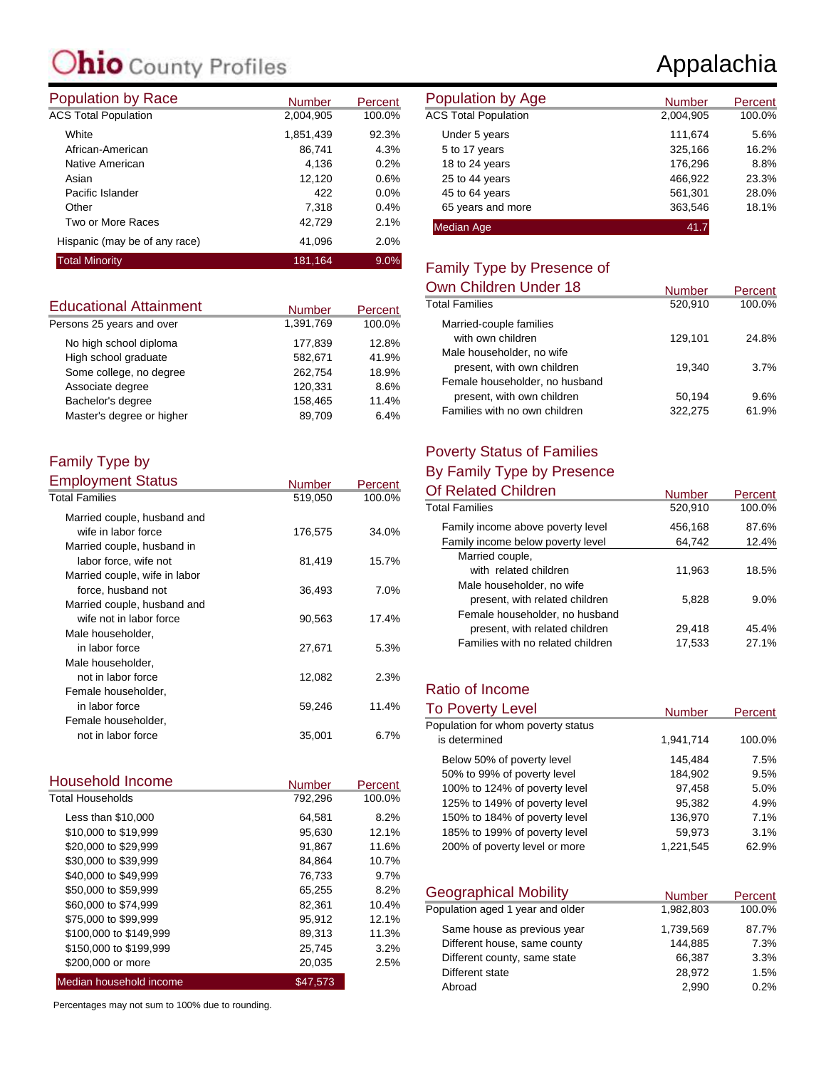# **C**ounty Profiles

| <b>Population by Race</b>     | <b>Number</b> | Percent | Population by Age           |
|-------------------------------|---------------|---------|-----------------------------|
| <b>ACS Total Population</b>   | 2,004,905     | 100.0%  | <b>ACS Total Population</b> |
| White                         | 1,851,439     | 92.3%   | Under 5 years               |
| African-American              | 86.741        | 4.3%    | 5 to 17 years               |
| Native American               | 4.136         | 0.2%    | 18 to 24 years              |
| Asian                         | 12,120        | 0.6%    | 25 to 44 years              |
| Pacific Islander              | 422           | $0.0\%$ | 45 to 64 years              |
| Other                         | 7,318         | 0.4%    | 65 years and more           |
| Two or More Races             | 42,729        | 2.1%    | <b>Median Age</b>           |
| Hispanic (may be of any race) | 41,096        | 2.0%    |                             |
| <b>Total Minority</b>         | 181,164       | 9.0%    | Eamily Type by Dr           |

| <b>Educational Attainment</b> | <b>Number</b> | Percent |
|-------------------------------|---------------|---------|
| Persons 25 years and over     | 1,391,769     | 100.0%  |
| No high school diploma        | 177.839       | 12.8%   |
| High school graduate          | 582,671       | 41.9%   |
| Some college, no degree       | 262,754       | 18.9%   |
| Associate degree              | 120,331       | 8.6%    |
| Bachelor's degree             | 158,465       | 11.4%   |
| Master's degree or higher     | 89.709        | 6.4%    |

#### Family Type by Employment Status

| Employment Status             | Number  | Percent |
|-------------------------------|---------|---------|
| <b>Total Families</b>         | 519,050 | 100.0%  |
| Married couple, husband and   |         |         |
| wife in labor force           | 176,575 | 34.0%   |
| Married couple, husband in    |         |         |
| labor force, wife not         | 81,419  | 15.7%   |
| Married couple, wife in labor |         |         |
| force, husband not            | 36,493  | 7.0%    |
| Married couple, husband and   |         |         |
| wife not in labor force       | 90,563  | 17.4%   |
| Male householder,             |         |         |
| in labor force                | 27,671  | 5.3%    |
| Male householder,             |         |         |
| not in labor force            | 12,082  | 2.3%    |
| Female householder,           |         |         |
| in labor force                | 59,246  | 11.4%   |
| Female householder,           |         |         |
| not in labor force            | 35,001  | 6.7%    |

| Household Income        | Number   | Percent |
|-------------------------|----------|---------|
| <b>Total Households</b> | 792,296  | 100.0%  |
| Less than \$10,000      | 64,581   | 8.2%    |
| \$10,000 to \$19,999    | 95.630   | 12.1%   |
| \$20,000 to \$29,999    | 91,867   | 11.6%   |
| \$30,000 to \$39,999    | 84,864   | 10.7%   |
| \$40,000 to \$49,999    | 76,733   | 9.7%    |
| \$50,000 to \$59,999    | 65,255   | 8.2%    |
| \$60,000 to \$74,999    | 82.361   | 10.4%   |
| \$75,000 to \$99,999    | 95.912   | 12.1%   |
| \$100,000 to \$149,999  | 89,313   | 11.3%   |
| \$150,000 to \$199,999  | 25,745   | 3.2%    |
| \$200,000 or more       | 20,035   | 2.5%    |
| Median household income | \$47.573 |         |

Percentages may not sum to 100% due to rounding.

## Appalachia

| <b>Number</b> | Percent | Population by Age           | <b>Number</b> | Percent |
|---------------|---------|-----------------------------|---------------|---------|
| 2,004,905     | 100.0%  | <b>ACS Total Population</b> | 2,004,905     | 100.0%  |
| 851,439       | 92.3%   | Under 5 years               | 111.674       | 5.6%    |
| 86,741        | 4.3%    | 5 to 17 years               | 325,166       | 16.2%   |
| 4,136         | 0.2%    | 18 to 24 years              | 176,296       | 8.8%    |
| 12,120        | 0.6%    | 25 to 44 years              | 466,922       | 23.3%   |
| 422           | 0.0%    | 45 to 64 years              | 561,301       | 28.0%   |
| 7.318         | 0.4%    | 65 years and more           | 363,546       | 18.1%   |
| 42,729        | 2.1%    | <b>Median Age</b>           | 41.7          |         |

#### Family Type by Presence of

| Own Children Under 18          | <b>Number</b> | Percent |
|--------------------------------|---------------|---------|
| <b>Total Families</b>          | 520,910       | 100.0%  |
| Married-couple families        |               |         |
| with own children              | 129.101       | 24.8%   |
| Male householder, no wife      |               |         |
| present, with own children     | 19.340        | 3.7%    |
| Female householder, no husband |               |         |
| present, with own children     | 50,194        | 9.6%    |
| Families with no own children  | 322,275       | 61.9%   |

#### Poverty Status of Families

#### By Family Type by Presence

| <b>Number</b> | Percent |
|---------------|---------|
| 520,910       | 100.0%  |
| 456,168       | 87.6%   |
| 64,742        | 12.4%   |
|               |         |
| 11,963        | 18.5%   |
|               |         |
| 5,828         | $9.0\%$ |
|               |         |
| 29,418        | 45.4%   |
| 17,533        | 27.1%   |
|               |         |

#### Ratio of Income

| <b>To Poverty Level</b>            | <b>Number</b> | Percent |
|------------------------------------|---------------|---------|
| Population for whom poverty status |               |         |
| is determined                      | 1,941,714     | 100.0%  |
| Below 50% of poverty level         | 145,484       | 7.5%    |
| 50% to 99% of poverty level        | 184.902       | 9.5%    |
| 100% to 124% of poverty level      | 97,458        | 5.0%    |
| 125% to 149% of poverty level      | 95.382        | 4.9%    |
| 150% to 184% of poverty level      | 136,970       | 7.1%    |
| 185% to 199% of poverty level      | 59.973        | 3.1%    |
| 200% of poverty level or more      | 1.221.545     | 62.9%   |

| <b>Geographical Mobility</b>     | <b>Number</b> | Percent |
|----------------------------------|---------------|---------|
| Population aged 1 year and older | 1,982,803     | 100.0%  |
| Same house as previous year      | 1,739,569     | 87.7%   |
| Different house, same county     | 144,885       | 7.3%    |
| Different county, same state     | 66,387        | 3.3%    |
| Different state                  | 28.972        | 1.5%    |
| Abroad                           | 2.990         | 0.2%    |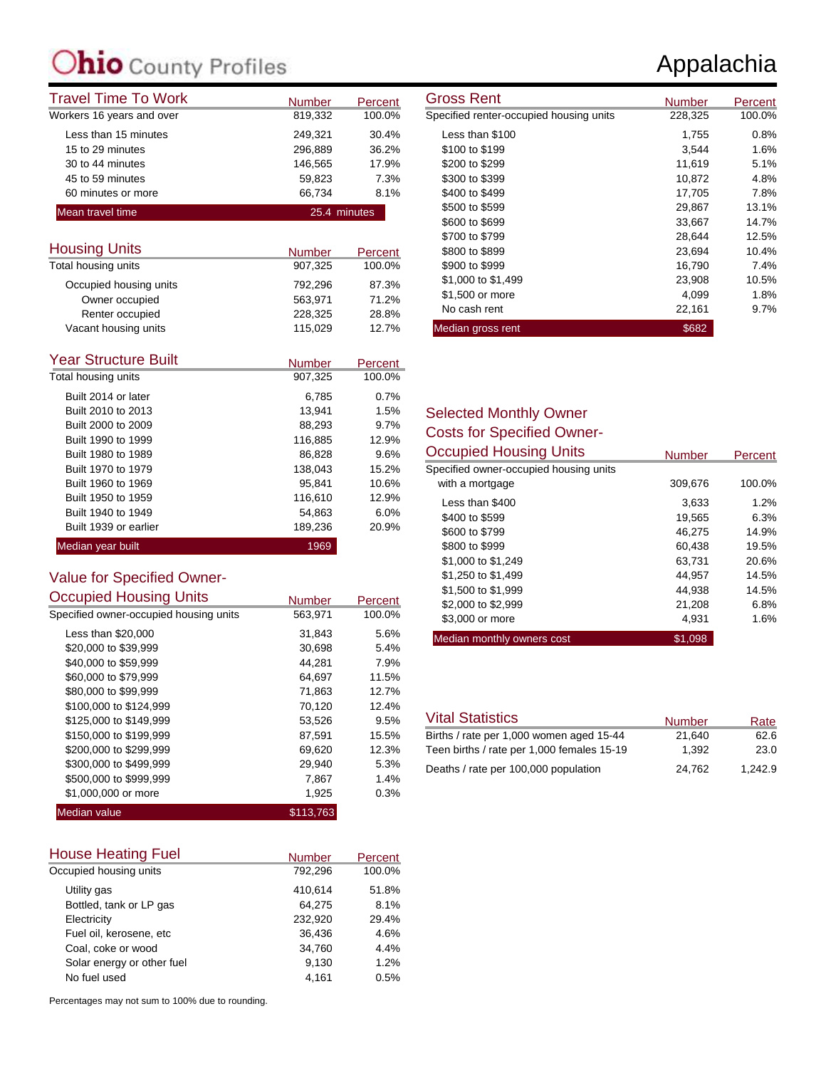| <b>Travel Time To Work</b> | <b>Number</b> | Percent | <b>Gross Rent</b>                       | Number  |
|----------------------------|---------------|---------|-----------------------------------------|---------|
| Workers 16 years and over  | 819,332       | 100.0%  | Specified renter-occupied housing units | 228,325 |
| Less than 15 minutes       | 249.321       | 30.4%   | Less than \$100                         | 1.755   |
| 15 to 29 minutes           | 296.889       | 36.2%   | \$100 to \$199                          | 3,544   |
| 30 to 44 minutes           | 146.565       | 17.9%   | \$200 to \$299                          | 11,619  |
| 45 to 59 minutes           | 59.823        | 7.3%    | \$300 to \$399                          | 10,872  |
| 60 minutes or more         | 66.734        | 8.1%    | \$400 to \$499                          | 17,705  |
| Mean travel time           | 25.4 minutes  |         | \$500 to \$599                          | 29,867  |
|                            |               |         | \$600 to \$699                          | 33.667  |

| <b>Housing Units</b>   | <b>Number</b> | Percent |
|------------------------|---------------|---------|
| Total housing units    | 907.325       | 100.0%  |
| Occupied housing units | 792.296       | 87.3%   |
| Owner occupied         | 563,971       | 71.2%   |
| Renter occupied        | 228.325       | 28.8%   |
| Vacant housing units   | 115,029       | 12.7%   |

| <b>Year Structure Built</b> | <b>Number</b> | Percent |
|-----------------------------|---------------|---------|
| Total housing units         | 907,325       | 100.0%  |
| Built 2014 or later         | 6.785         | 0.7%    |
| Built 2010 to 2013          | 13.941        | 1.5%    |
| Built 2000 to 2009          | 88,293        | 9.7%    |
| Built 1990 to 1999          | 116,885       | 12.9%   |
| Built 1980 to 1989          | 86,828        | 9.6%    |
| Built 1970 to 1979          | 138.043       | 15.2%   |
| Built 1960 to 1969          | 95.841        | 10.6%   |
| Built 1950 to 1959          | 116,610       | 12.9%   |
| Built 1940 to 1949          | 54,863        | 6.0%    |
| Built 1939 or earlier       | 189.236       | 20.9%   |
| Median year built           | 1969          |         |

#### Value for Specified Owner-<br>Convenied Housing United Occupied Housing Units

| <b>Occupied Housing Units</b>          | <b>Number</b> | Percent |
|----------------------------------------|---------------|---------|
| Specified owner-occupied housing units | 563,971       | 100.0%  |
| Less than \$20,000                     | 31,843        | 5.6%    |
| \$20,000 to \$39,999                   | 30,698        | 5.4%    |
| \$40,000 to \$59,999                   | 44,281        | 7.9%    |
| \$60,000 to \$79,999                   | 64,697        | 11.5%   |
| \$80,000 to \$99,999                   | 71,863        | 12.7%   |
| \$100,000 to \$124,999                 | 70,120        | 12.4%   |
| \$125,000 to \$149,999                 | 53,526        | 9.5%    |
| \$150,000 to \$199,999                 | 87,591        | 15.5%   |
| \$200,000 to \$299,999                 | 69,620        | 12.3%   |
| \$300,000 to \$499,999                 | 29,940        | 5.3%    |
| \$500,000 to \$999,999                 | 7,867         | 1.4%    |
| \$1,000,000 or more                    | 1,925         | 0.3%    |
| Median value                           | \$113.763     |         |

| <b>House Heating Fuel</b>  | <b>Number</b> | Percent |
|----------------------------|---------------|---------|
| Occupied housing units     | 792,296       | 100.0%  |
| Utility gas                | 410.614       | 51.8%   |
| Bottled, tank or LP gas    | 64,275        | 8.1%    |
| Electricity                | 232,920       | 29.4%   |
| Fuel oil, kerosene, etc    | 36,436        | 4.6%    |
| Coal, coke or wood         | 34,760        | 4.4%    |
| Solar energy or other fuel | 9,130         | 1.2%    |
| No fuel used               | 4.161         | 0.5%    |

Percentages may not sum to 100% due to rounding.

| Gross Rent                              | Number  | Percent |
|-----------------------------------------|---------|---------|
| Specified renter-occupied housing units | 228,325 | 100.0%  |
| Less than \$100                         | 1,755   | 0.8%    |
| \$100 to \$199                          | 3.544   | 1.6%    |
| \$200 to \$299                          | 11,619  | 5.1%    |
| \$300 to \$399                          | 10,872  | 4.8%    |
| \$400 to \$499                          | 17,705  | 7.8%    |
| \$500 to \$599                          | 29,867  | 13.1%   |
| \$600 to \$699                          | 33,667  | 14.7%   |
| \$700 to \$799                          | 28,644  | 12.5%   |
| \$800 to \$899                          | 23,694  | 10.4%   |
| \$900 to \$999                          | 16,790  | 7.4%    |
| \$1,000 to \$1,499                      | 23,908  | 10.5%   |
| \$1,500 or more                         | 4,099   | 1.8%    |
| No cash rent                            | 22,161  | $9.7\%$ |
| Median gross rent                       | \$682   |         |

#### Selected Monthly Owner Costs for Specified Owner-

| <b>Occupied Housing Units</b>          | <b>Number</b> | Percent |
|----------------------------------------|---------------|---------|
| Specified owner-occupied housing units |               |         |
| with a mortgage                        | 309,676       | 100.0%  |
| Less than \$400                        | 3,633         | 1.2%    |
| \$400 to \$599                         | 19.565        | 6.3%    |
| \$600 to \$799                         | 46.275        | 14.9%   |
| \$800 to \$999                         | 60,438        | 19.5%   |
| \$1,000 to \$1,249                     | 63.731        | 20.6%   |
| \$1,250 to \$1,499                     | 44.957        | 14.5%   |
| \$1,500 to \$1,999                     | 44.938        | 14.5%   |
| \$2,000 to \$2,999                     | 21,208        | 6.8%    |
| \$3,000 or more                        | 4,931         | 1.6%    |
| Median monthly owners cost             | \$1.098       |         |

| <b>Vital Statistics</b>                    | <b>Number</b> | Rate    |
|--------------------------------------------|---------------|---------|
| Births / rate per 1,000 women aged 15-44   | 21.640        | 62.6    |
| Teen births / rate per 1,000 females 15-19 | 1.392         | 23.0    |
| Deaths / rate per 100,000 population       | 24.762        | 1.242.9 |

### Appalachia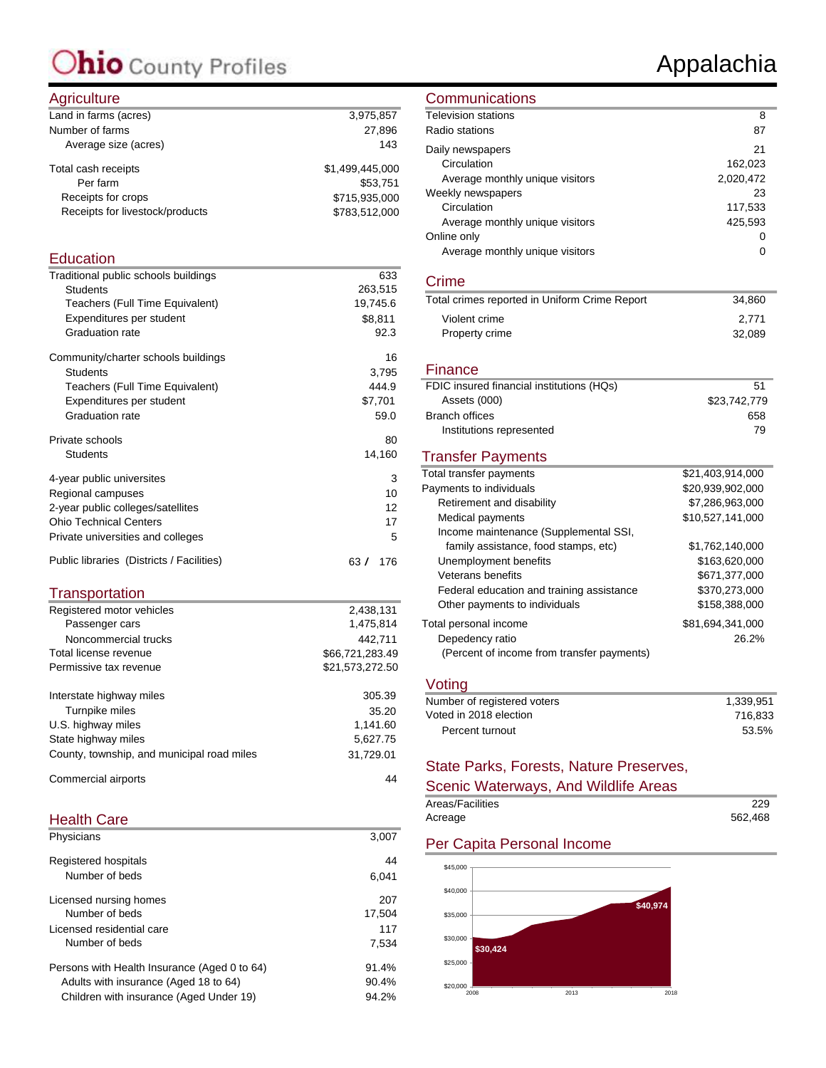#### Agriculture

| $1.9110$ and $0.1$              |                 |
|---------------------------------|-----------------|
| Land in farms (acres)           | 3,975,857       |
| Number of farms                 | 27.896          |
| Average size (acres)            | 143             |
| Total cash receipts             | \$1,499,445,000 |
| Per farm                        | \$53.751        |
| Receipts for crops              | \$715,935,000   |
| Receipts for livestock/products | \$783,512,000   |
|                                 |                 |

#### **Education**

| Traditional public schools buildings      | 633        |
|-------------------------------------------|------------|
| <b>Students</b>                           | 263,515    |
| Teachers (Full Time Equivalent)           | 19,745.6   |
| Expenditures per student                  | \$8,811    |
| <b>Graduation rate</b>                    | 92.3       |
| Community/charter schools buildings       | 16         |
| <b>Students</b>                           | 3,795      |
| Teachers (Full Time Equivalent)           | 444.9      |
| Expenditures per student                  | \$7,701    |
| Graduation rate                           | 59.0       |
| Private schools                           | 80         |
| Students                                  | 14,160     |
| 4-year public universites                 | 3          |
| Regional campuses                         | 10         |
| 2-year public colleges/satellites         | 12         |
| <b>Ohio Technical Centers</b>             | 17         |
| Private universities and colleges         | 5          |
| Public libraries (Districts / Facilities) | 63/<br>176 |

#### **Transportation**

| Registered motor vehicles                  | 2,438,131       |
|--------------------------------------------|-----------------|
| Passenger cars                             | 1,475,814       |
| Noncommercial trucks                       | 442.711         |
| Total license revenue                      | \$66,721,283.49 |
| Permissive tax revenue                     | \$21,573,272.50 |
| Interstate highway miles                   | 305.39          |
| Turnpike miles                             | 35.20           |
| U.S. highway miles                         | 1.141.60        |
| State highway miles                        | 5,627.75        |
| County, township, and municipal road miles | 31.729.01       |
| Commercial airports                        | 44              |

#### Health Care

| 3.007  |
|--------|
| 44     |
| 6.041  |
| 207    |
| 17,504 |
| 117    |
| 7.534  |
| 91.4%  |
| 90.4%  |
| 94.2%  |
|        |

#### **Communications**

| <b>Television stations</b>      | 8         |
|---------------------------------|-----------|
| Radio stations                  | 87        |
| Daily newspapers                | 21        |
| Circulation                     | 162,023   |
| Average monthly unique visitors | 2,020,472 |
| Weekly newspapers               | 23        |
| Circulation                     | 117,533   |
| Average monthly unique visitors | 425.593   |
| Online only                     | 0         |
| Average monthly unique visitors | Ω         |

#### Crime

| Total crimes reported in Uniform Crime Report | 34.860 |
|-----------------------------------------------|--------|
| Violent crime                                 | 2.771  |
| Property crime                                | 32.089 |

#### **Finance**

| FDIC insured financial institutions (HQs) | 51           |
|-------------------------------------------|--------------|
| Assets (000)                              | \$23,742,779 |
| Branch offices                            | 658          |
| Institutions represented                  | 79           |
|                                           |              |

#### Transfer Payments

| Total transfer payments                    | \$21.403.914.000 |
|--------------------------------------------|------------------|
| Payments to individuals                    | \$20.939.902.000 |
| Retirement and disability                  | \$7,286,963,000  |
| Medical payments                           | \$10,527,141,000 |
| Income maintenance (Supplemental SSI,      |                  |
| family assistance, food stamps, etc)       | \$1,762,140,000  |
| Unemployment benefits                      | \$163,620,000    |
| Veterans benefits                          | \$671.377.000    |
| Federal education and training assistance  | \$370,273,000    |
| Other payments to individuals              | \$158,388,000    |
| Total personal income                      | \$81.694.341.000 |
| Depedency ratio                            | 26.2%            |
| (Percent of income from transfer payments) |                  |
|                                            |                  |

#### Voting

| Number of registered voters | 1.339.951 |
|-----------------------------|-----------|
| Voted in 2018 election      | 716.833   |
| Percent turnout             | 53.5%     |
|                             |           |

#### State Parks, Forests, Nature Preserves,

#### Scenic Waterways, And Wildlife Areas

| Areas/Facilities | 229     |
|------------------|---------|
| Acreage          | 562.468 |

#### Per Capita Personal Income



### Appalachia